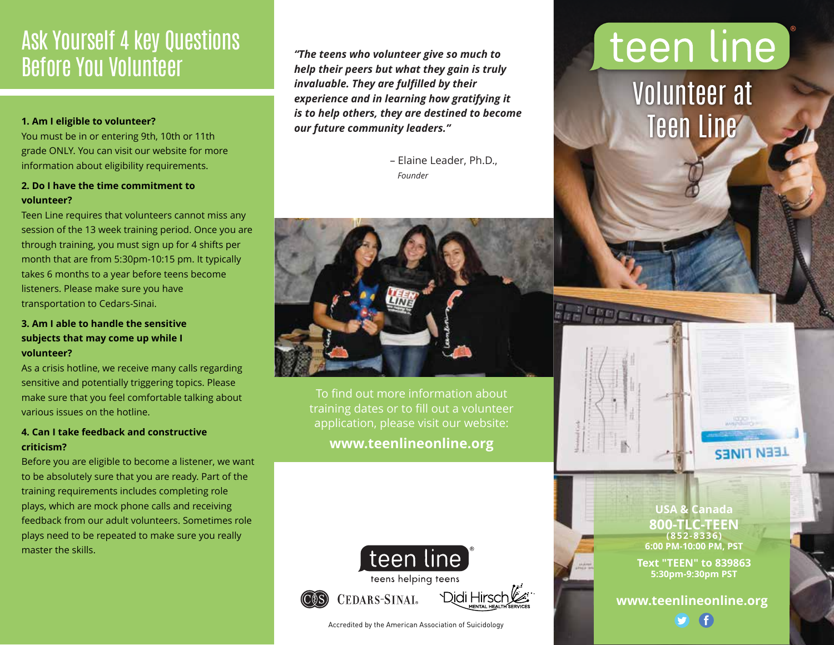## Ask Yourself 4 key Questions Before You Volunteer

#### **1. Am I eligible to volunteer?**

You must be in or entering 9th, 10th or 11th grade ONLY. You can visit our website for more information about eligibility requirements.

### **2. Do I have the time commitment to volunteer?**

Teen Line requires that volunteers cannot miss any session of the 13 week training period. Once you are through training, you must sign up for 4 shifts per month that are from 5:30pm-10:15 pm. It typically takes 6 months to a year before teens become listeners. Please make sure you have transportation to Cedars-Sinai.

### **3. Am I able to handle the sensitive subjects that may come up while I volunteer?**

As a crisis hotline, we receive many calls regarding sensitive and potentially triggering topics. Please make sure that you feel comfortable talking about various issues on the hotline.

### **4. Can I take feedback and constructive criticism?**

Before you are eligible to become a listener, we want to be absolutely sure that you are ready. Part of the training requirements includes completing role plays, which are mock phone calls and receiving feedback from our adult volunteers. Sometimes role plays need to be repeated to make sure you really master the skills.

*"The teens who volunteer give so much to help their peers but what they gain is truly invaluable. They are fulfilled by their experience and in learning how gratifying it is to help others, they are destined to become our future community leaders."*

> – Elaine Leader, Ph.D., *Founder*



To find out more information about training dates or to fill out a volunteer application, please visit our website: **www.teenlineonline.org**



Accredited by the American Association of Suicidology

# teen line

Volunteer at Teen Line

**THE PERSON** 



**USA & Canada 800-TLC-TEEN (852-8336) 6:00 PM-10:00 PM, PST**

**Text "TEEN" to 839863 5:30pm-9:30pm PST**

**www.teenlineonline.org**